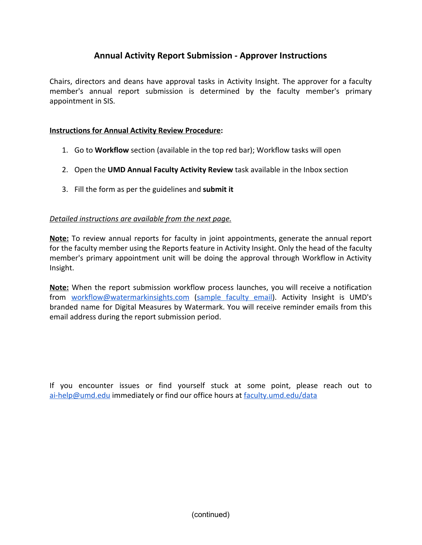## **Annual Activity Report Submission - Approver Instructions**

Chairs, directors and deans have approval tasks in Activity Insight. The approver for a faculty member's annual report submission is determined by the faculty member's primary appointment in SIS.

## **Instructions for Annual Activity Review Procedure:**

- 1. Go to **Workflow** section (available in the top red bar); Workflow tasks will open
- 2. Open the **UMD Annual Faculty Activity Review** task available in the Inbox section
- 3. Fill the form as per the guidelines and **submit it**

## *Detailed instructions are available from the next page.*

**Note:** To review annual reports for faculty in joint appointments, generate the annual report for the faculty member using the Reports feature in Activity Insight. Only the head of the faculty member's primary appointment unit will be doing the approval through Workflow in Activity Insight.

**Note:** When the report submission workflow process launches, you will receive a notification from [workflow@watermarkinsights.com](mailto:workflow@watermarkinsights.com) ([sample](https://faculty.umd.edu/data/documents/annualReviewInvite.png) faculty email). Activity Insight is UMD's branded name for Digital Measures by Watermark. You will receive reminder emails from this email address during the report submission period.

If you encounter issues or find yourself stuck at some point, please reach out to [ai-help@umd.edu](mailto:ai-help@umd.edu) immediately or find our office hours at [faculty.umd.edu/data](https://faculty.umd.edu/data/)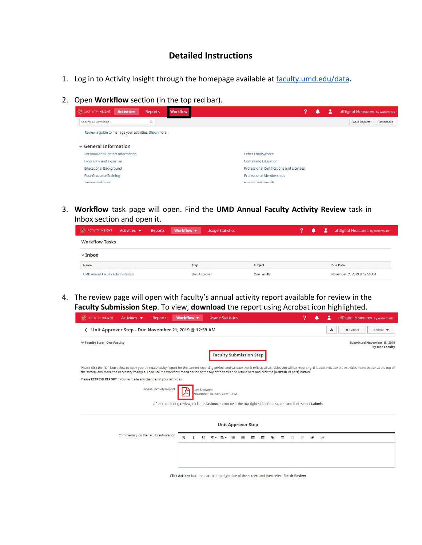## **Detailed Instructions**

- 1. Log in to Activity Insight through the homepage available at [faculty.umd.edu/data](https://faculty.umd.edu/data/).
- 2. Open **Workflow** section (in the top red bar).

| $\mathcal{L}_{\mathcal{S}}$<br><b>Activities</b><br><b>ACTIVITY INSIGHT</b><br><b>Reports</b> | <b>Workflow</b> |                                          | 2 | .: Digital Measures by Watermark |
|-----------------------------------------------------------------------------------------------|-----------------|------------------------------------------|---|----------------------------------|
| $\mathbb{Q}$<br>Search All Activities                                                         |                 |                                          |   | Rapid Reports<br>PasteBoard      |
| Review a guide to manage your activities. Show more                                           |                 |                                          |   |                                  |
| $\sim$ General Information                                                                    |                 |                                          |   |                                  |
| <b>Personal and Contact Information</b>                                                       |                 | <b>Other Employment</b>                  |   |                                  |
| Biography and Expertise                                                                       |                 | <b>Continuing Education</b>              |   |                                  |
| <b>Educational Background</b>                                                                 |                 | Professional Certifications and Licenses |   |                                  |
| Post-Graduate Training                                                                        |                 | Professional Memberships                 |   |                                  |
| Topuro and Bank                                                                               |                 | Honors and Awards                        |   |                                  |

3. **Workflow** task page will open. Find the **UMD Annual Faculty Activity Review** task in Inbox section and open it.

| <b>O ACTIVITY INSIGHT</b>                 | Activities $\blacktriangledown$ | Reports | Workflow $\blacktriangledown$ | <b>Usage Statistics</b> |             | 2 | ▲ | я | .: Digital Measures by Watermark |
|-------------------------------------------|---------------------------------|---------|-------------------------------|-------------------------|-------------|---|---|---|----------------------------------|
| <b>Workflow Tasks</b>                     |                                 |         |                               |                         |             |   |   |   |                                  |
| $\mathbf{\triangledown}$ Inbox            |                                 |         |                               |                         |             |   |   |   |                                  |
| Name                                      |                                 |         | Step                          |                         | Subject     |   |   |   | Due Date                         |
| <b>UMD Annual Faculty Activity Review</b> |                                 |         | Unit Approver                 |                         | One Faculty |   |   |   | November 21, 2019 @ 12:59 AM     |

4. The review page will open with faculty's annual activity report available for review in the **Faculty Submission Step**. To view, **download** the report using Acrobat icon highlighted.

| $\mathcal{A}_{\mathcal{P}}$<br><b>ACTIVITY INSIGHT</b><br>Activities $\blacktriangledown$<br><b>Reports</b>                                                                                                                                                                                                                                                                                    | Workflow v   | <b>Usage Statistics</b>      |                                | ာ                                                                                                              |                                     | .: Digital Measures by Watermark                     |
|------------------------------------------------------------------------------------------------------------------------------------------------------------------------------------------------------------------------------------------------------------------------------------------------------------------------------------------------------------------------------------------------|--------------|------------------------------|--------------------------------|----------------------------------------------------------------------------------------------------------------|-------------------------------------|------------------------------------------------------|
| ← Unit Approver Step - Due November 21, 2019 @ 12:59 AM                                                                                                                                                                                                                                                                                                                                        |              |                              |                                |                                                                                                                |                                     | 孟<br><b>x</b> Cancel<br>Actions $\blacktriangledown$ |
| <b>★ Faculty Step - One Faculty</b>                                                                                                                                                                                                                                                                                                                                                            |              |                              |                                |                                                                                                                |                                     | <b>Submitted November 18, 2019</b><br>by One Faculty |
|                                                                                                                                                                                                                                                                                                                                                                                                |              |                              | <b>Faculty Submission Step</b> |                                                                                                                |                                     |                                                      |
| Please click the PDF icon below to open your Annual Activity Report for the current reporting period, and validate that it reflects all activities you will be reporting. If it does not, use the Activities menu option at th<br>the screen, and make the necessary changes. Then use the Workflow menu option at the top of the screen to return here and click the [Refresh Report] button. |              |                              |                                |                                                                                                                |                                     |                                                      |
| Please REFRESH REPORT if you've made any changes in your activities.                                                                                                                                                                                                                                                                                                                           |              |                              |                                |                                                                                                                |                                     |                                                      |
| Annual Activity Report                                                                                                                                                                                                                                                                                                                                                                         | Last Updated | November 18, 2019 at 6:13 PM |                                | After completing review, click the Actions button near the top right side of the screen and then select Submit |                                     |                                                      |
|                                                                                                                                                                                                                                                                                                                                                                                                |              |                              | <b>Unit Approver Step</b>      |                                                                                                                |                                     |                                                      |
| Commentary on the faculty submission                                                                                                                                                                                                                                                                                                                                                           | B<br>U       | 挂<br>∍                       | $\overline{1}$<br>≔<br>産       | ⊞<br>$\mathcal{L}$                                                                                             | $\langle \rangle$<br>$\overline{a}$ |                                                      |
|                                                                                                                                                                                                                                                                                                                                                                                                |              |                              |                                |                                                                                                                |                                     |                                                      |
|                                                                                                                                                                                                                                                                                                                                                                                                |              |                              |                                |                                                                                                                |                                     |                                                      |
|                                                                                                                                                                                                                                                                                                                                                                                                |              |                              |                                | Click Actions button near the top right side of the screen and then select Finish Review                       |                                     |                                                      |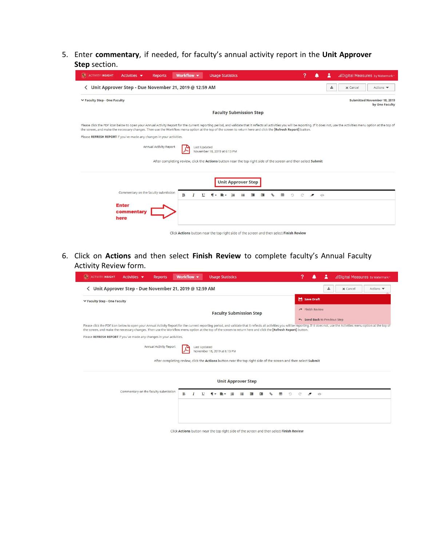5. Enter **commentary**, if needed, for faculty's annual activity report in the **Unit Approver Step** section.

| <b>AD</b> ACTIVITY INSIGHT                                           | Activities $\blacktriangledown$      | <b>Reports</b>         | Workflow v            | <b>Usage Statistics</b>                                                                                                                                      | 7                                         |                                     | .: Digital Measures by Watermark                                                                                                                                                                                               |
|----------------------------------------------------------------------|--------------------------------------|------------------------|-----------------------|--------------------------------------------------------------------------------------------------------------------------------------------------------------|-------------------------------------------|-------------------------------------|--------------------------------------------------------------------------------------------------------------------------------------------------------------------------------------------------------------------------------|
| ← Unit Approver Step - Due November 21, 2019 @ 12:59 AM              |                                      |                        |                       |                                                                                                                                                              |                                           | 孟                                   | <b>x</b> Cancel<br>Actions $\blacktriangledown$                                                                                                                                                                                |
| <b>₩ Faculty Step - One Faculty</b>                                  |                                      |                        |                       |                                                                                                                                                              |                                           |                                     | Submitted November 18, 2019<br>by One Faculty                                                                                                                                                                                  |
|                                                                      |                                      |                        |                       | <b>Faculty Submission Step</b>                                                                                                                               |                                           |                                     |                                                                                                                                                                                                                                |
|                                                                      |                                      |                        |                       | the screen, and make the necessary changes. Then use the Workflow menu option at the top of the screen to return here and click the [Refresh Report] button. |                                           |                                     | Please click the PDF icon below to open your Annual Activity Report for the current reporting period, and validate that it reflects all activities you will be reporting. If it does not, use the Activities menu option at th |
| Please REFRESH REPORT if you've made any changes in your activities. |                                      |                        |                       |                                                                                                                                                              |                                           |                                     |                                                                                                                                                                                                                                |
|                                                                      |                                      | Annual Activity Report | Last Updated          | November 18, 2019 at 6:13 PM                                                                                                                                 |                                           |                                     |                                                                                                                                                                                                                                |
|                                                                      |                                      |                        |                       | After completing review, click the Actions button near the top right side of the screen and then select Submit                                               |                                           |                                     |                                                                                                                                                                                                                                |
|                                                                      |                                      |                        |                       | <b>Unit Approver Step</b>                                                                                                                                    |                                           |                                     |                                                                                                                                                                                                                                |
|                                                                      | Commentary on the faculty submission |                        | B<br>$\boldsymbol{I}$ | U<br>$=$<br>疆<br>挂                                                                                                                                           | 96<br>用<br>$\circ$<br>$\mathbb{C}^n$<br>雇 | $\overline{a}$<br>$\langle \rangle$ |                                                                                                                                                                                                                                |
|                                                                      | <b>Enter</b><br>commentary<br>here   |                        |                       |                                                                                                                                                              |                                           |                                     |                                                                                                                                                                                                                                |
|                                                                      |                                      |                        |                       | Click Actions button near the top right side of the screen and then select Finish Review                                                                     |                                           |                                     |                                                                                                                                                                                                                                |

6. Click on **Actions** and then select **Finish Review** to complete faculty's Annual Faculty Activity Review form.

| ← Unit Approver Step - Due November 21, 2019 @ 12:59 AM                                                                                                                                                                                                                                                                                                                                        |   |              |                     |  |                               |                  |                           |   |   |               |   |                                                           |   |   |                          |           |  |  |  |  |  |  |  |
|------------------------------------------------------------------------------------------------------------------------------------------------------------------------------------------------------------------------------------------------------------------------------------------------------------------------------------------------------------------------------------------------|---|--------------|---------------------|--|-------------------------------|------------------|---------------------------|---|---|---------------|---|-----------------------------------------------------------|---|---|--------------------------|-----------|--|--|--|--|--|--|--|
| ↓ Faculty Step - One Faculty<br><b>Faculty Submission Step</b>                                                                                                                                                                                                                                                                                                                                 |   |              |                     |  |                               |                  |                           |   |   |               |   | Save Draft<br>Finish Review<br>Send Back to Previous Step |   |   |                          |           |  |  |  |  |  |  |  |
| Please click the PDF icon below to open your Annual Activity Report for the current reporting period, and validate that it reflects all activities you will be reporting. If it does not, use the Activities menu option at th<br>the screen, and make the necessary changes. Then use the Workflow menu option at the top of the screen to return here and click the [Refresh Report] button. |   |              |                     |  |                               |                  |                           |   |   |               |   |                                                           |   |   |                          |           |  |  |  |  |  |  |  |
| Please REFRESH REPORT if you've made any changes in your activities.                                                                                                                                                                                                                                                                                                                           |   |              |                     |  |                               |                  |                           |   |   |               |   |                                                           |   |   |                          |           |  |  |  |  |  |  |  |
| <b>Annual Activity Report</b><br>After completing review, click the Actions button near the top right side of the screen and then select Submit                                                                                                                                                                                                                                                |   |              | <b>Last Updated</b> |  | November 18, 2019 at 6:13 PM  |                  |                           |   |   |               |   |                                                           |   |   |                          |           |  |  |  |  |  |  |  |
|                                                                                                                                                                                                                                                                                                                                                                                                |   |              |                     |  |                               |                  | <b>Unit Approver Step</b> |   |   |               |   |                                                           |   |   |                          |           |  |  |  |  |  |  |  |
| Commentary on the faculty submission                                                                                                                                                                                                                                                                                                                                                           | B | $\mathbf{I}$ | U                   |  | $\P$ $\cdot$ $\equiv$ $\cdot$ | にゅうしょう にっぽん こうしゃ | 三                         | 彊 | 僵 | $\mathcal{C}$ | 田 |                                                           | O | C | $\overline{\mathcal{F}}$ | $\langle$ |  |  |  |  |  |  |  |
|                                                                                                                                                                                                                                                                                                                                                                                                |   |              |                     |  |                               |                  |                           |   |   |               |   |                                                           |   |   |                          |           |  |  |  |  |  |  |  |